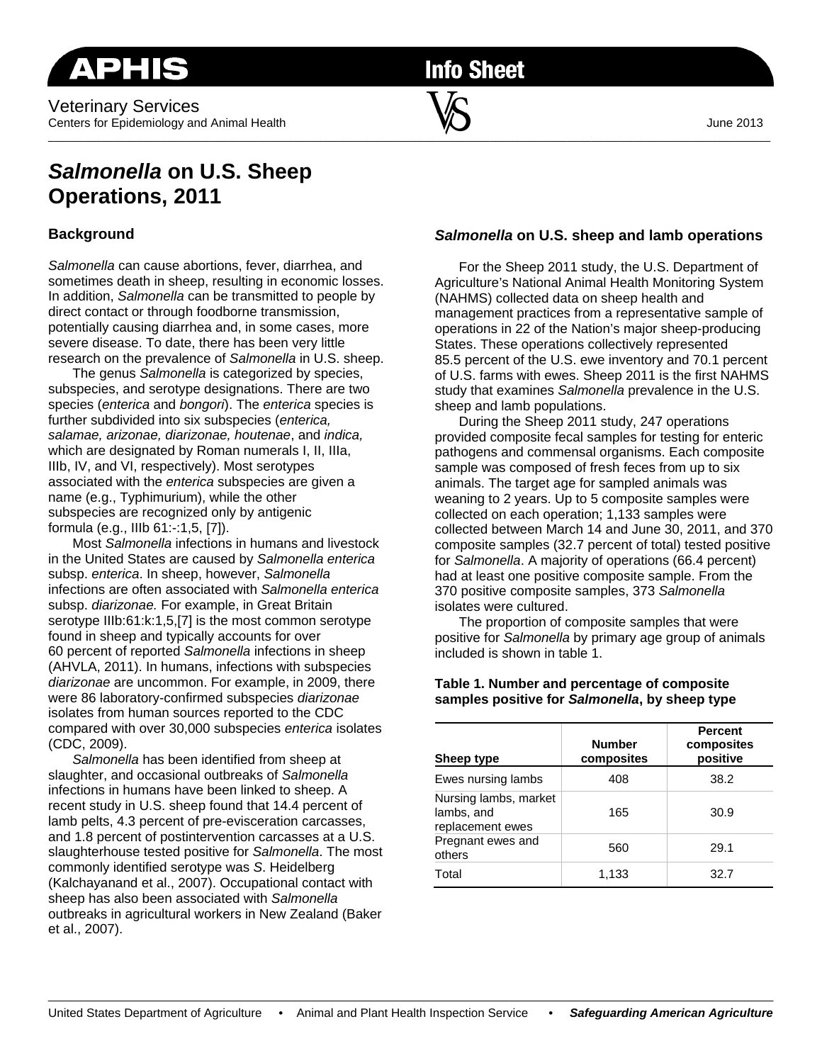**Info Sheet** 

# *Salmonella* **on U.S. Sheep Operations, 2011**

## **Background**

*Salmonella* can cause abortions, fever, diarrhea, and sometimes death in sheep, resulting in economic losses. In addition, *Salmonella* can be transmitted to people by direct contact or through foodborne transmission, potentially causing diarrhea and, in some cases, more severe disease. To date, there has been very little research on the prevalence of *Salmonella* in U.S. sheep.

The genus *Salmonella* is categorized by species, subspecies, and serotype designations. There are two species (*enterica* and *bongori*). The *enterica* species is further subdivided into six subspecies (*enterica, salamae, arizonae, diarizonae, houtenae*, and *indica,*  which are designated by Roman numerals I, II, IIIa, IIIb, IV, and VI, respectively). Most serotypes associated with the *enterica* subspecies are given a name (e.g., Typhimurium), while the other subspecies are recognized only by antigenic formula (e.g., IIIb 61:-:1,5, [7]).

Most *Salmonella* infections in humans and livestock in the United States are caused by *Salmonella enterica* subsp. *enterica*. In sheep, however, *Salmonella* infections are often associated with *Salmonella enterica* subsp. *diarizonae.* For example, in Great Britain serotype IIIb:61:k:1,5,[7] is the most common serotype found in sheep and typically accounts for over 60 percent of reported *Salmonella* infections in sheep (AHVLA, 2011). In humans, infections with subspecies *diarizonae* are uncommon. For example, in 2009, there were 86 laboratory-confirmed subspecies *diarizonae* isolates from human sources reported to the CDC compared with over 30,000 subspecies *enterica* isolates (CDC, 2009).

*Salmonella* has been identified from sheep at slaughter, and occasional outbreaks of *Salmonella* infections in humans have been linked to sheep. A recent study in U.S. sheep found that 14.4 percent of lamb pelts, 4.3 percent of pre-evisceration carcasses, and 1.8 percent of postintervention carcasses at a U.S. slaughterhouse tested positive for *Salmonella*. The most commonly identified serotype was *S*. Heidelberg (Kalchayanand et al., 2007). Occupational contact with sheep has also been associated with *Salmonella* outbreaks in agricultural workers in New Zealand (Baker et al., 2007).

## *Salmonella* **on U.S. sheep and lamb operations**

For the Sheep 2011 study, the U.S. Department of Agriculture's National Animal Health Monitoring System (NAHMS) collected data on sheep health and management practices from a representative sample of operations in 22 of the Nation's major sheep-producing States. These operations collectively represented 85.5 percent of the U.S. ewe inventory and 70.1 percent of U.S. farms with ewes. Sheep 2011 is the first NAHMS study that examines *Salmonella* prevalence in the U.S. sheep and lamb populations.

 During the Sheep 2011 study, 247 operations provided composite fecal samples for testing for enteric pathogens and commensal organisms. Each composite sample was composed of fresh feces from up to six animals. The target age for sampled animals was weaning to 2 years. Up to 5 composite samples were collected on each operation; 1,133 samples were collected between March 14 and June 30, 2011, and 370 composite samples (32.7 percent of total) tested positive for *Salmonella*. A majority of operations (66.4 percent) had at least one positive composite sample. From the 370 positive composite samples, 373 *Salmonella* isolates were cultured.

The proportion of composite samples that were positive for *Salmonella* by primary age group of animals included is shown in table 1.

#### **Table 1. Number and percentage of composite samples positive for** *Salmonella***, by sheep type**

| Sheep type                                              | <b>Number</b><br>composites | <b>Percent</b><br>composites<br>positive |
|---------------------------------------------------------|-----------------------------|------------------------------------------|
| Ewes nursing lambs                                      | 408                         | 38.2                                     |
| Nursing lambs, market<br>lambs, and<br>replacement ewes | 165                         | 30.9                                     |
| Pregnant ewes and<br>others                             | 560                         | 29.1                                     |
| Total                                                   | 1,133                       | 32.7                                     |